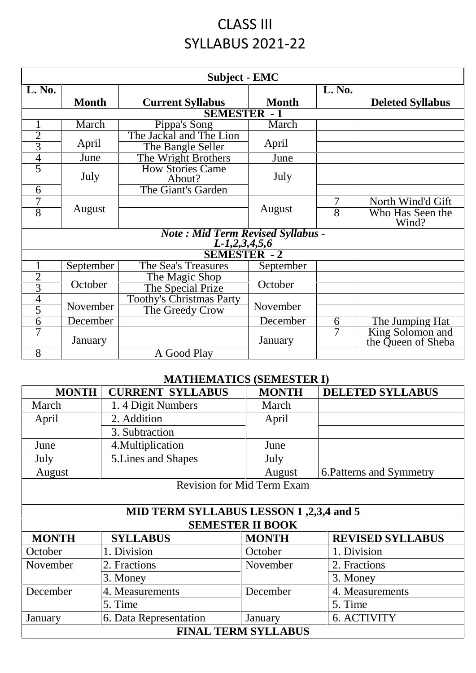## CLASS III SYLLABUS 2021-22

| <b>Subject - EMC</b>                                                        |                             |                                   |              |                |                                        |
|-----------------------------------------------------------------------------|-----------------------------|-----------------------------------|--------------|----------------|----------------------------------------|
| L. No.                                                                      |                             |                                   |              | L. No.         |                                        |
|                                                                             | <b>Month</b>                | <b>Current Syllabus</b>           | <b>Month</b> |                | <b>Deleted Syllabus</b>                |
| <b>SEMESTER - 1</b>                                                         |                             |                                   |              |                |                                        |
| $\mathbf{1}$                                                                | March                       | Pippa's Song                      | March        |                |                                        |
| $\overline{2}$                                                              |                             | The Jackal and The Lion           |              |                |                                        |
| $\overline{3}$                                                              | April                       | The Bangle Seller                 | April        |                |                                        |
| $\overline{4}$                                                              | June                        | The Wright Brothers               | June         |                |                                        |
| $\overline{5}$                                                              | July                        | <b>How Stories Came</b><br>About? | July         |                |                                        |
| 6                                                                           |                             | The Giant's Garden                |              |                |                                        |
| 7                                                                           |                             |                                   | August       | 7              | North Wind'd Gift                      |
| $\overline{8}$                                                              | August                      |                                   |              | $\overline{8}$ | Who Has Seen the<br>Wind?              |
| Note: Mid Term Revised Syllabus -<br>$L-1,2,3,4,5,6$<br><b>SEMESTER - 2</b> |                             |                                   |              |                |                                        |
|                                                                             |                             |                                   |              |                |                                        |
| $\mathbf{1}$<br>$\overline{2}$                                              | September                   | The Sea's Treasures               | September    |                |                                        |
| $\overline{3}$                                                              | October                     | The Magic Shop                    | October      |                |                                        |
|                                                                             |                             | The Special Prize                 |              |                |                                        |
| $\overline{4}$<br>$\overline{5}$                                            | November<br>The Greedy Crow | <b>Toothy's Christmas Party</b>   | November     |                |                                        |
|                                                                             |                             |                                   |              |                |                                        |
| $\overline{6}$                                                              | December                    |                                   | December     | 6              | The Jumping Hat                        |
| 7                                                                           | January                     |                                   | January      | 7              | King Solomon and<br>the Queen of Sheba |
| 8                                                                           |                             | A Good Play                       |              |                |                                        |

## **MATHEMATICS (SEMESTER I)**

| <b>MONTH</b>               | <b>CURRENT SYLLABUS</b>                | <b>MONTH</b>                      | <b>DELETED SYLLABUS</b>  |  |  |  |
|----------------------------|----------------------------------------|-----------------------------------|--------------------------|--|--|--|
| March                      | 1.4 Digit Numbers                      | March                             |                          |  |  |  |
| April                      | 2. Addition                            | April                             |                          |  |  |  |
|                            | 3. Subtraction                         |                                   |                          |  |  |  |
| June                       | 4. Multiplication                      | June                              |                          |  |  |  |
| July                       | 5. Lines and Shapes                    | July                              |                          |  |  |  |
| August                     |                                        | August                            | 6. Patterns and Symmetry |  |  |  |
|                            |                                        | <b>Revision for Mid Term Exam</b> |                          |  |  |  |
|                            |                                        |                                   |                          |  |  |  |
|                            | MID TERM SYLLABUS LESSON 1,2,3,4 and 5 |                                   |                          |  |  |  |
|                            |                                        | <b>SEMESTER II BOOK</b>           |                          |  |  |  |
| <b>MONTH</b>               | <b>SYLLABUS</b>                        | <b>MONTH</b>                      | <b>REVISED SYLLABUS</b>  |  |  |  |
| October                    | 1. Division                            | October                           | 1. Division              |  |  |  |
| November                   | 2. Fractions                           | November                          | 2. Fractions             |  |  |  |
|                            | 3. Money                               |                                   | 3. Money                 |  |  |  |
| December                   | 4. Measurements                        | December                          | 4. Measurements          |  |  |  |
|                            | 5. Time                                |                                   | 5. Time                  |  |  |  |
| January                    | 6. Data Representation                 | January                           | 6. ACTIVITY              |  |  |  |
| <b>FINAL TERM SYLLABUS</b> |                                        |                                   |                          |  |  |  |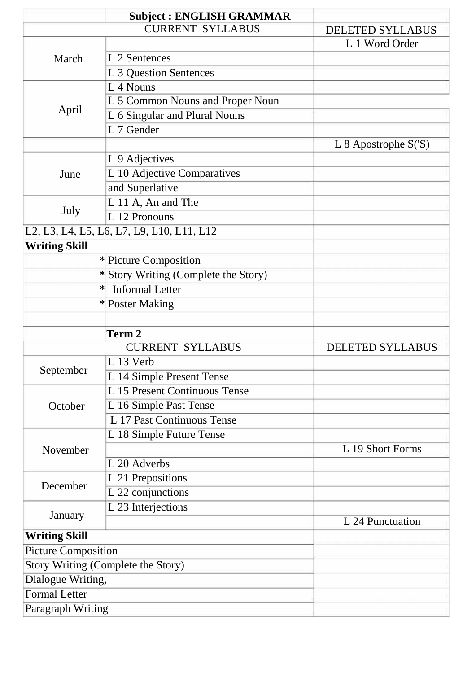|                            | <b>Subject: ENGLISH GRAMMAR</b>           |                         |
|----------------------------|-------------------------------------------|-------------------------|
|                            | <b>CURRENT SYLLABUS</b>                   | <b>DELETED SYLLABUS</b> |
|                            |                                           | L 1 Word Order          |
| March                      | L 2 Sentences                             |                         |
|                            | L 3 Question Sentences                    |                         |
|                            | L <sub>4</sub> Nouns                      |                         |
|                            | L 5 Common Nouns and Proper Noun          |                         |
| April                      | L 6 Singular and Plural Nouns             |                         |
|                            | L 7 Gender                                |                         |
|                            |                                           | L 8 Apostrophe $S(S)$   |
|                            | L 9 Adjectives                            |                         |
| June                       | L 10 Adjective Comparatives               |                         |
|                            | and Superlative                           |                         |
|                            | L 11 A, An and The                        |                         |
| July                       | L 12 Pronouns                             |                         |
|                            | L2, L3, L4, L5, L6, L7, L9, L10, L11, L12 |                         |
| <b>Writing Skill</b>       |                                           |                         |
|                            | * Picture Composition                     |                         |
|                            | * Story Writing (Complete the Story)      |                         |
|                            | <b>Informal Letter</b><br>$\ast$          |                         |
|                            | * Poster Making                           |                         |
|                            |                                           |                         |
|                            | Term 2                                    |                         |
|                            | <b>CURRENT SYLLABUS</b>                   | <b>DELETED SYLLABUS</b> |
|                            | L 13 Verb                                 |                         |
| September                  | L 14 Simple Present Tense                 |                         |
|                            | L 15 Present Continuous Tense             |                         |
| October                    | L 16 Simple Past Tense                    |                         |
|                            | L 17 Past Continuous Tense                |                         |
|                            | L 18 Simple Future Tense                  |                         |
| November                   |                                           | L 19 Short Forms        |
|                            | L 20 Adverbs                              |                         |
|                            | L 21 Prepositions                         |                         |
| December                   | L 22 conjunctions                         |                         |
|                            | L 23 Interjections                        |                         |
| January                    |                                           | L 24 Punctuation        |
| <b>Writing Skill</b>       |                                           |                         |
| <b>Picture Composition</b> |                                           |                         |
|                            | Story Writing (Complete the Story)        |                         |
| Dialogue Writing,          |                                           |                         |
| <b>Formal Letter</b>       |                                           |                         |
| Paragraph Writing          |                                           |                         |
|                            |                                           |                         |